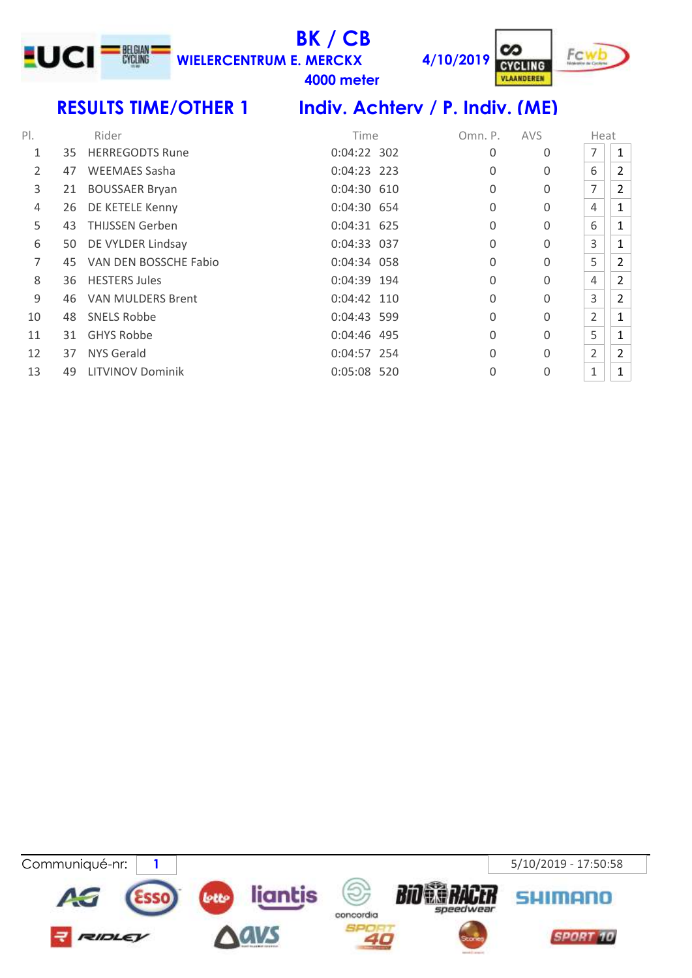# **BK / CB**

**meter**

**4/10/2019 WIELERCENTRUM E. MERCKX**



**CYCLING** VLAANDEREN

LUCI<sup>-N</sup>

### **RESULTS TIME/OTHER 1 Indiv. Achterv / P. Indiv. (ME)**

| $P$ .          |    | Rider                   | Time          | Omn. P.  | <b>AVS</b> | Heat           |                |
|----------------|----|-------------------------|---------------|----------|------------|----------------|----------------|
| 1              | 35 | <b>HERREGODTS Rune</b>  | 0:04:22 302   | 0        | 0          | 7              | 1              |
| $\overline{2}$ | 47 | <b>WEEMAES Sasha</b>    | $0:04:23$ 223 | 0        | $\Omega$   | 6              | $\overline{2}$ |
| 3              | 21 | <b>BOUSSAER Bryan</b>   | 0:04:30 610   | $\Omega$ | $\Omega$   | $\overline{7}$ | $\overline{2}$ |
| 4              | 26 | DE KETELE Kenny         | 0:04:30 654   | 0        | $\Omega$   | 4              | $\mathbf{1}$   |
| 5              | 43 | <b>THIJSSEN Gerben</b>  | 0:04:31 625   | 0        | $\Omega$   | 6              | 1              |
| 6              | 50 | DE VYLDER Lindsay       | 0:04:33 037   | 0        | $\Omega$   | 3              | $\mathbf{1}$   |
| 7              | 45 | VAN DEN BOSSCHE Fabio   | 0:04:34 058   | 0        | $\Omega$   | 5              | $\overline{2}$ |
| 8              | 36 | <b>HESTERS Jules</b>    | 0:04:39 194   | 0        | 0          | $\overline{4}$ | $\overline{2}$ |
| 9              | 46 | VAN MULDERS Brent       | 0:04:42 110   | $\Omega$ | $\Omega$   | 3              | $\overline{2}$ |
| 10             | 48 | <b>SNELS Robbe</b>      | 0:04:43 599   | 0        | $\Omega$   | $\overline{2}$ | 1              |
| 11             | 31 | <b>GHYS Robbe</b>       | $0:04:46$ 495 | 0        | $\Omega$   | 5              | 1              |
| 12             | 37 | <b>NYS Gerald</b>       | 0:04:57 254   | $\Omega$ | $\Omega$   | $\overline{2}$ | $\overline{2}$ |
| 13             | 49 | <b>LITVINOV Dominik</b> | 0:05:08 520   | 0        | 0          | 1              | $\mathbf{1}$   |

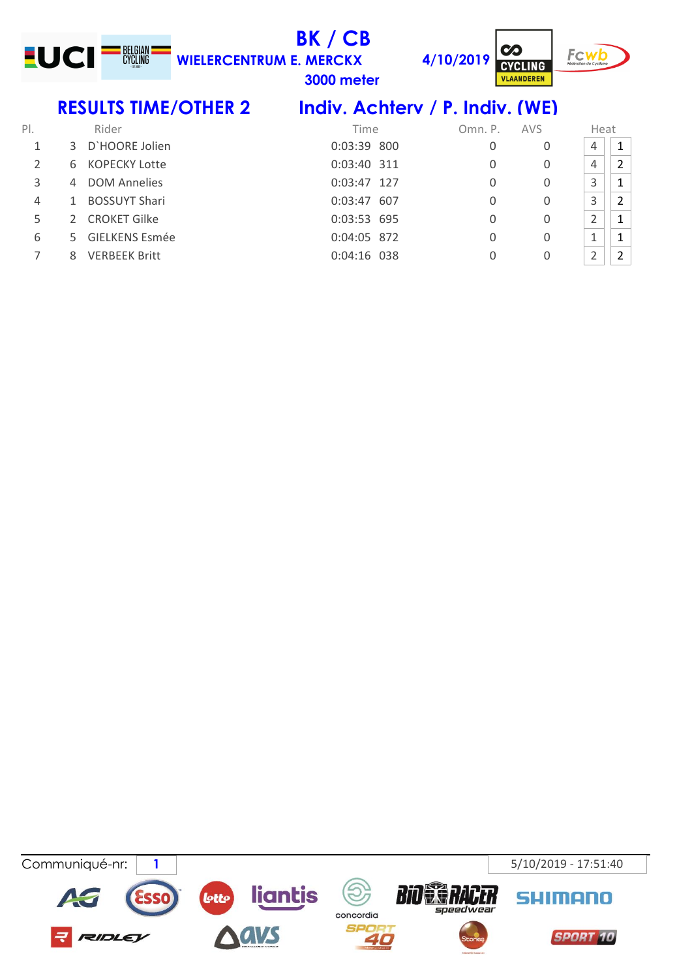

**BK / CB WIELERCENTRUM E. MERCKX**

**3000 meter**

**4/10/2019**



 $\infty$ 

**CYCLING VLAANDEREN** 

## **RESULTS TIME/OTHER 2 Indiv. Achterv / P. Indiv. (WE)**

| $P$ . |               | Rider                | Time          | Omn. P. | <b>AVS</b> | Heat |                |
|-------|---------------|----------------------|---------------|---------|------------|------|----------------|
|       |               | 3 D'HOORE Jolien     | 0:03:39 800   | 0       | 0          | 4    | $\mathbf{1}$   |
|       | 6             | KOPECKY Lotte        | 0:03:40 311   | 0       | 0          | 4    | $\overline{2}$ |
| 3     | 4             | <b>DOM Annelies</b>  | 0:03:47 127   | 0       | 0          | 3    |                |
| 4     | 1             | <b>BOSSUYT Shari</b> | 0:03:47 607   | 0       | 0          | 3    | $\overline{2}$ |
|       | $\mathcal{P}$ | <b>CROKET Gilke</b>  | 0:03:53 695   | 0       | 0          |      |                |
| 6     |               | 5 GIELKENS Esmée     | 0:04:05 872   | 0       | 0          |      |                |
|       | 8             | <b>VERBEEK Britt</b> | $0:04:16$ 038 | 0       |            | ำ    |                |

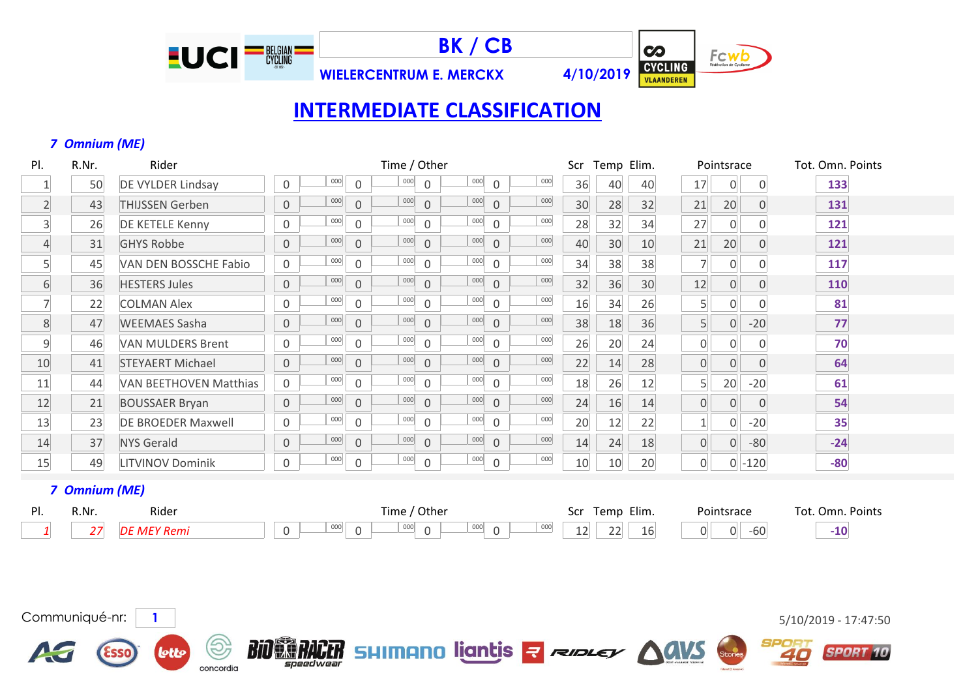

19

concordia

**lotto** 

**BK / CB**

**WIELERCENTRUM E. MERCKX 4/10/2019**

 $\overline{\mathbf{c}}$ Fcwb CYCLING

## **INTERMEDIATE CLASSIFICATION**

#### *7 Omnium (ME)*

| PI.            | R.Nr. | Rider                         |                     |     |                     | Time / Other |                |     |              |     | Scr | Temp Elim. |    |                | Pointsrace     |           | Tot. Omn. Points |
|----------------|-------|-------------------------------|---------------------|-----|---------------------|--------------|----------------|-----|--------------|-----|-----|------------|----|----------------|----------------|-----------|------------------|
|                | 50    | <b>DE VYLDER Lindsay</b>      | $\mathbf 0$         | 000 | $\Omega$            | 000          | $\Omega$       | 000 | $\Omega$     | 000 | 36  | 40         | 40 | 17             | 0              | 0         | 133              |
| 2              | 43    | <b>THIJSSEN Gerben</b>        | $\overline{0}$      | 000 | $\overline{0}$      | 000          | $\overline{0}$ | 000 | $\Omega$     | 000 | 30  | 28         | 32 | 21             | 20             |           | 131              |
| $\overline{3}$ | 26    | DE KETELE Kenny               | $\mathbf 0$         | 000 | $\overline{0}$      | 000          | $\mathbf 0$    | 000 | $\Omega$     | 000 | 28  | 32         | 34 | 27             | $\Omega$       |           | 121              |
| $\overline{4}$ | 31    | <b>GHYS Robbe</b>             | $\mathsf{O}\xspace$ | 000 | $\mathbf 0$         | 000          | $\mathbf 0$    | 000 | $\mathbf 0$  | 000 | 40  | 30         | 10 | 21             | 20             |           | 121              |
| 5 <sup>1</sup> | 45    | VAN DEN BOSSCHE Fabio         | $\mathbf 0$         | 000 | $\mathbf 0$         | 000          | $\mathbf 0$    | 000 | $\mathbf 0$  | 000 | 34  | 38         | 38 | $\overline{7}$ | $\overline{0}$ |           | 117              |
| 6              | 36    | <b>HESTERS Jules</b>          | $\mathsf{O}\xspace$ | 000 | $\overline{0}$      | 000          | $\overline{0}$ | 000 | $\Omega$     | 000 | 32  | 36         | 30 | 12             | $\overline{0}$ |           | 110              |
| $\overline{7}$ | 22    | <b>COLMAN Alex</b>            | $\mathbf 0$         | 000 | $\mathbf 0$         | 000          | 0              | 000 | $\mathbf 0$  | 000 | 16  | 34         | 26 | 5 <sup>1</sup> | $\overline{0}$ |           | 81               |
| 8              | 47    | <b>WEEMAES Sasha</b>          | $\mathbf 0$         | 000 | $\overline{0}$      | 000          | $\mathbf 0$    | 000 | $\mathbf 0$  | 000 | 38  | 18         | 36 | 5 <sup>1</sup> | $\overline{0}$ | $-20$     | 77               |
| 9              | 46    | <b>VAN MULDERS Brent</b>      | $\mathbf 0$         | 000 | $\mathbf 0$         | 000          | $\mathbf 0$    | 000 | $\mathbf{0}$ | 000 | 26  | 20         | 24 | $\overline{0}$ | 0              |           | 70               |
| 10             | 41    | <b>STEYAERT Michael</b>       | $\mathbf 0$         | 000 | $\mathbf{0}$        | 000          | $\Omega$       | 000 | $\Omega$     | 000 | 22  | 14         | 28 | $\overline{0}$ | $\overline{0}$ |           | 64               |
| 11             | 44    | <b>VAN BEETHOVEN Matthias</b> | $\mathsf{O}\xspace$ | 000 | $\mathbf{0}$        | 000          | 0              | 000 | $\mathbf 0$  | 000 | 18  | 26         | 12 | 5 <sup>1</sup> | 20             | $-20$     | 61               |
| 12             | 21    | <b>BOUSSAER Bryan</b>         | $\mathbf 0$         | 000 | $\overline{0}$      | 000          | $\overline{0}$ | 000 | $\Omega$     | 000 | 24  | 16         | 14 | $\overline{0}$ | $\overline{0}$ | $\Omega$  | 54               |
| 13             | 23    | <b>DE BROEDER Maxwell</b>     | $\mathbf 0$         | 000 | $\Omega$            | 000          | $\Omega$       | 000 | $\Omega$     | 000 | 20  | 12         | 22 | $\mathbf{1}$   | $\overline{0}$ | $-20$     | 35               |
| 14             | 37    | <b>NYS Gerald</b>             | $\mathsf{O}\xspace$ | 000 | $\mathsf{O}\xspace$ | 000          | $\mathbf 0$    | 000 | $\mathbf 0$  | 000 | 14  | 24         | 18 | $\overline{0}$ | 0              | $-80$     | $-24$            |
| 15             | 49    | <b>LITVINOV Dominik</b>       | $\mathbf 0$         | 000 | $\mathbf 0$         | 000          | 0              | 000 | $\mathbf 0$  | 000 | 10  | 10         | 20 | $\overline{0}$ |                | $0 - 120$ | $-80$            |

#### *7 Omnium (ME)*

AS

| DΙ<br>. . | R.Nr | Rider | Time,<br>Other                                                                            | Elim.<br>-Scr<br>l emp        | Pointsrace                         | Points<br>Tot.<br>( )mr |
|-----------|------|-------|-------------------------------------------------------------------------------------------|-------------------------------|------------------------------------|-------------------------|
|           | - 11 |       | $\sim$<br>000<br>000<br>$\sim$<br>000<br>$\sim$<br>UUU<br>◡<br>$\overline{ }$<br>. .<br>◡ | $\sim$ $\sim$<br>TP.<br>$- -$ | $\sim$<br>$\sim$<br>-60.<br>U<br>ັ | $-10$                   |

BIO BRACER SHIMANO ligntis a respect AGVS



**SPORT 10** 

SPORT

40